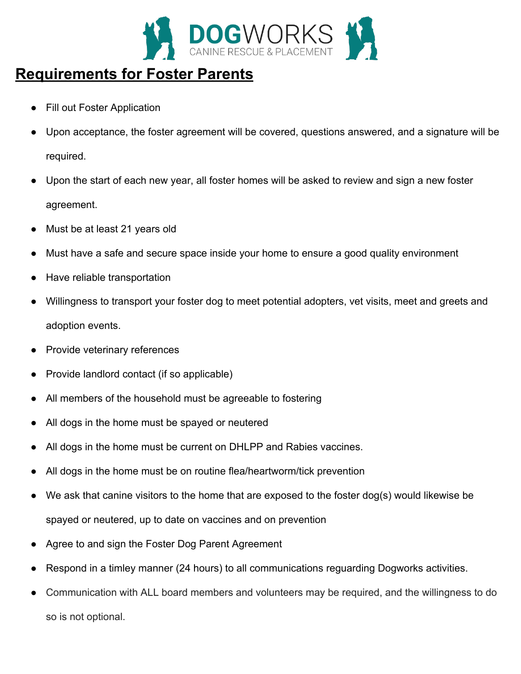

# **Requirements for Foster Parents**

- **Fill out Foster Application**
- Upon acceptance, the foster agreement will be covered, questions answered, and a signature will be required.
- Upon the start of each new year, all foster homes will be asked to review and sign a new foster agreement.
- Must be at least 21 years old
- Must have a safe and secure space inside your home to ensure a good quality environment
- Have reliable transportation
- Willingness to transport your foster dog to meet potential adopters, vet visits, meet and greets and adoption events.
- Provide veterinary references
- Provide landlord contact (if so applicable)
- All members of the household must be agreeable to fostering
- All dogs in the home must be spayed or neutered
- All dogs in the home must be current on DHLPP and Rabies vaccines.
- All dogs in the home must be on routine flea/heartworm/tick prevention
- We ask that canine visitors to the home that are exposed to the foster dog(s) would likewise be spayed or neutered, up to date on vaccines and on prevention
- Agree to and sign the Foster Dog Parent Agreement
- Respond in a timley manner (24 hours) to all communications reguarding Dogworks activities.
- Communication with ALL board members and volunteers may be required, and the willingness to do so is not optional.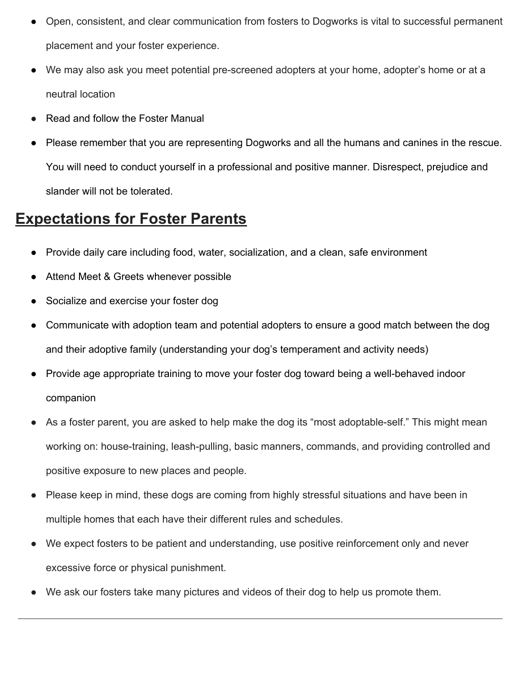- Open, consistent, and clear communication from fosters to Dogworks is vital to successful permanent placement and your foster experience.
- We may also ask you meet potential pre-screened adopters at your home, adopter's home or at a neutral location
- Read and follow the Foster Manual
- Please remember that you are representing Dogworks and all the humans and canines in the rescue. You will need to conduct yourself in a professional and positive manner. Disrespect, prejudice and slander will not be tolerated.

# **Expectations for Foster Parents**

- Provide daily care including food, water, socialization, and a clean, safe environment
- Attend Meet & Greets whenever possible
- Socialize and exercise your foster dog
- Communicate with adoption team and potential adopters to ensure a good match between the dog and their adoptive family (understanding your dog's temperament and activity needs)
- Provide age appropriate training to move your foster dog toward being a well-behaved indoor companion
- As a foster parent, you are asked to help make the dog its "most adoptable-self." This might mean working on: house-training, leash-pulling, basic manners, commands, and providing controlled and positive exposure to new places and people.
- Please keep in mind, these dogs are coming from highly stressful situations and have been in multiple homes that each have their different rules and schedules.
- We expect fosters to be patient and understanding, use positive reinforcement only and never excessive force or physical punishment.
- We ask our fosters take many pictures and videos of their dog to help us promote them.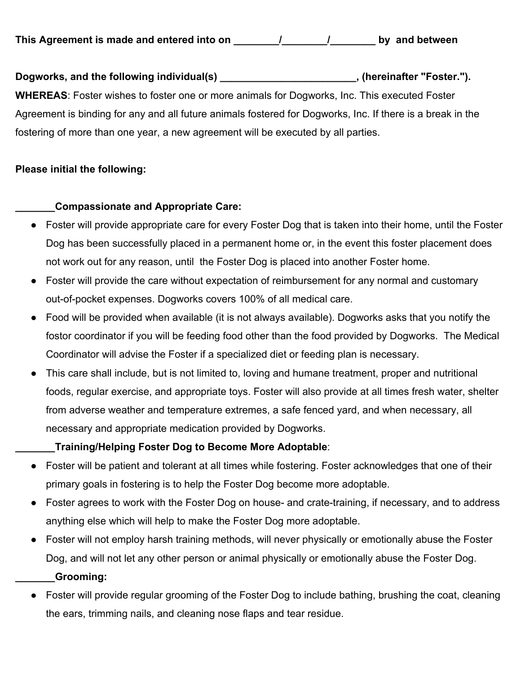Dogworks, and the following individual(s) **with all and the example of the set of the set of the set of the set o**<br>  $\frac{1}{2}$ , (hereinafter "Foster."). **WHEREAS**: Foster wishes to foster one or more animals for Dogworks, Inc. This executed Foster Agreement is binding for any and all future animals fostered for Dogworks, Inc. If there is a break in the fostering of more than one year, a new agreement will be executed by all parties.

## **Please initial the following:**

# **\_\_\_\_\_\_\_Compassionate and Appropriate Care:**

- Foster will provide appropriate care for every Foster Dog that is taken into their home, until the Foster Dog has been successfully placed in a permanent home or, in the event this foster placement does not work out for any reason, until the Foster Dog is placed into another Foster home.
- Foster will provide the care without expectation of reimbursement for any normal and customary out-of-pocket expenses. Dogworks covers 100% of all medical care.
- Food will be provided when available (it is not always available). Dogworks asks that you notify the fostor coordinator if you will be feeding food other than the food provided by Dogworks. The Medical Coordinator will advise the Foster if a specialized diet or feeding plan is necessary.
- This care shall include, but is not limited to, loving and humane treatment, proper and nutritional foods, regular exercise, and appropriate toys. Foster will also provide at all times fresh water, shelter from adverse weather and temperature extremes, a safe fenced yard, and when necessary, all necessary and appropriate medication provided by Dogworks.

# **\_\_\_\_\_\_\_Training/Helping Foster Dog to Become More Adoptable**:

- Foster will be patient and tolerant at all times while fostering. Foster acknowledges that one of their primary goals in fostering is to help the Foster Dog become more adoptable.
- Foster agrees to work with the Foster Dog on house- and crate-training, if necessary, and to address anything else which will help to make the Foster Dog more adoptable.
- Foster will not employ harsh training methods, will never physically or emotionally abuse the Foster Dog, and will not let any other person or animal physically or emotionally abuse the Foster Dog. **\_\_\_\_\_\_\_Grooming:**
- Foster will provide regular grooming of the Foster Dog to include bathing, brushing the coat, cleaning the ears, trimming nails, and cleaning nose flaps and tear residue.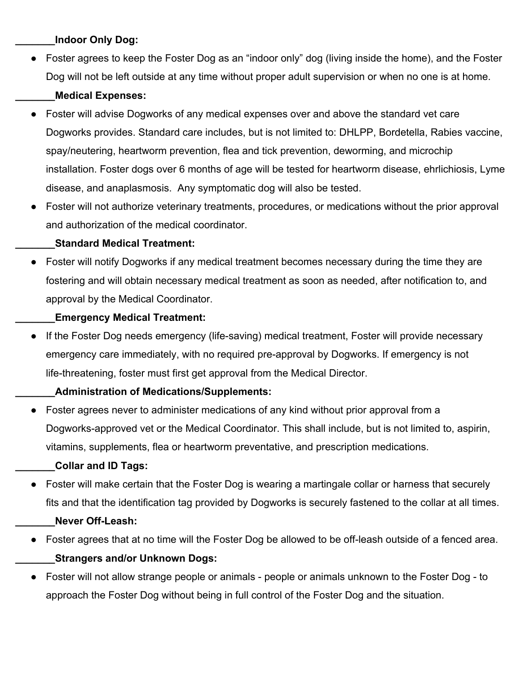#### **\_\_\_\_\_\_\_Indoor Only Dog:**

● Foster agrees to keep the Foster Dog as an "indoor only" dog (living inside the home), and the Foster Dog will not be left outside at any time without proper adult supervision or when no one is at home.

## **\_\_\_\_\_\_\_Medical Expenses:**

- Foster will advise Dogworks of any medical expenses over and above the standard vet care Dogworks provides. Standard care includes, but is not limited to: DHLPP, Bordetella, Rabies vaccine, spay/neutering, heartworm prevention, flea and tick prevention, deworming, and microchip installation. Foster dogs over 6 months of age will be tested for heartworm disease, ehrlichiosis, Lyme disease, and anaplasmosis. Any symptomatic dog will also be tested.
- Foster will not authorize veterinary treatments, procedures, or medications without the prior approval and authorization of the medical coordinator.

#### **\_\_\_\_\_\_\_Standard Medical Treatment:**

● Foster will notify Dogworks if any medical treatment becomes necessary during the time they are fostering and will obtain necessary medical treatment as soon as needed, after notification to, and approval by the Medical Coordinator.

#### **\_\_\_\_\_\_\_Emergency Medical Treatment:**

● If the Foster Dog needs emergency (life-saving) medical treatment, Foster will provide necessary emergency care immediately, with no required pre-approval by Dogworks. If emergency is not life-threatening, foster must first get approval from the Medical Director.

## **\_\_\_\_\_\_\_Administration of Medications/Supplements:**

Foster agrees never to administer medications of any kind without prior approval from a Dogworks-approved vet or the Medical Coordinator. This shall include, but is not limited to, aspirin, vitamins, supplements, flea or heartworm preventative, and prescription medications.

## **\_\_\_\_\_\_\_Collar and ID Tags:**

● Foster will make certain that the Foster Dog is wearing a martingale collar or harness that securely fits and that the identification tag provided by Dogworks is securely fastened to the collar at all times.

## **\_\_\_\_\_\_\_Never Off-Leash:**

- Foster agrees that at no time will the Foster Dog be allowed to be off-leash outside of a fenced area. **\_\_\_\_\_\_\_Strangers and/or Unknown Dogs:**
- Foster will not allow strange people or animals people or animals unknown to the Foster Dog to approach the Foster Dog without being in full control of the Foster Dog and the situation.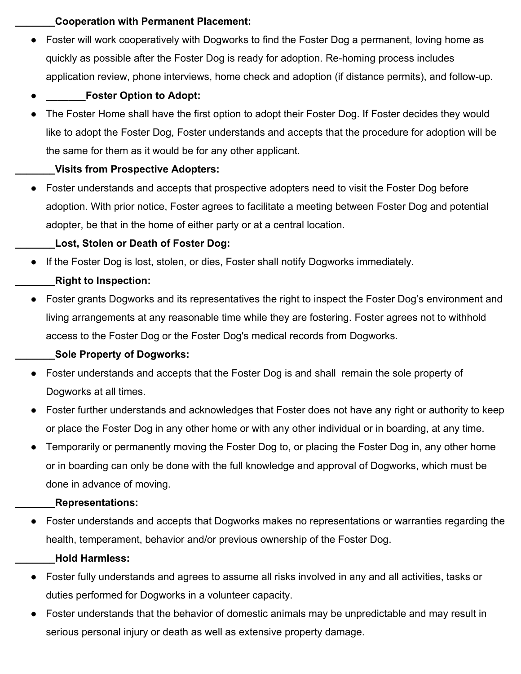#### **\_\_\_\_\_\_\_Cooperation with Permanent Placement:**

• Foster will work cooperatively with Dogworks to find the Foster Dog a permanent, loving home as quickly as possible after the Foster Dog is ready for adoption. Re-homing process includes application review, phone interviews, home check and adoption (if distance permits), and follow-up.

## **Foster Option to Adopt:**

The Foster Home shall have the first option to adopt their Foster Dog. If Foster decides they would like to adopt the Foster Dog, Foster understands and accepts that the procedure for adoption will be the same for them as it would be for any other applicant.

## **\_\_\_\_\_\_\_Visits from Prospective Adopters:**

● Foster understands and accepts that prospective adopters need to visit the Foster Dog before adoption. With prior notice, Foster agrees to facilitate a meeting between Foster Dog and potential adopter, be that in the home of either party or at a central location.

# **\_\_\_\_\_\_\_Lost, Stolen or Death of Foster Dog:**

● If the Foster Dog is lost, stolen, or dies, Foster shall notify Dogworks immediately.

# **\_\_\_\_\_\_\_Right to Inspection:**

● Foster grants Dogworks and its representatives the right to inspect the Foster Dog's environment and living arrangements at any reasonable time while they are fostering. Foster agrees not to withhold access to the Foster Dog or the Foster Dog's medical records from Dogworks.

# **\_\_\_\_\_\_\_Sole Property of Dogworks:**

- Foster understands and accepts that the Foster Dog is and shall remain the sole property of Dogworks at all times.
- Foster further understands and acknowledges that Foster does not have any right or authority to keep or place the Foster Dog in any other home or with any other individual or in boarding, at any time.
- Temporarily or permanently moving the Foster Dog to, or placing the Foster Dog in, any other home or in boarding can only be done with the full knowledge and approval of Dogworks, which must be done in advance of moving.

## **\_\_\_\_\_\_\_Representations:**

● Foster understands and accepts that Dogworks makes no representations or warranties regarding the health, temperament, behavior and/or previous ownership of the Foster Dog.

## **\_\_\_\_\_\_\_Hold Harmless:**

- Foster fully understands and agrees to assume all risks involved in any and all activities, tasks or duties performed for Dogworks in a volunteer capacity.
- Foster understands that the behavior of domestic animals may be unpredictable and may result in serious personal injury or death as well as extensive property damage.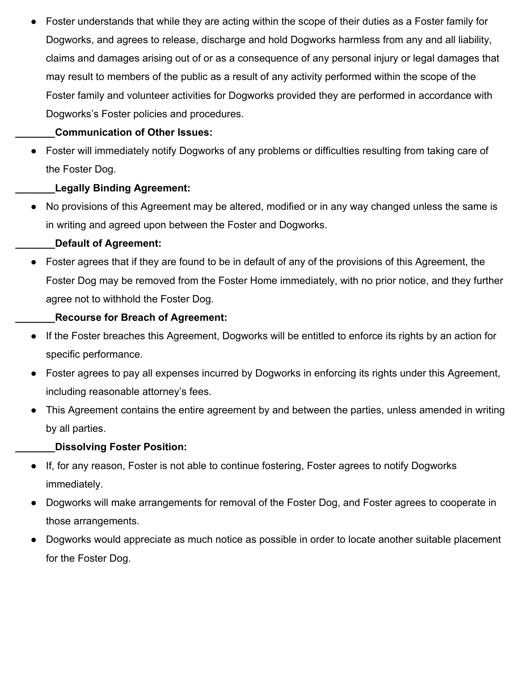Foster understands that while they are acting within the scope of their duties as a Foster family for Dogworks, and agrees to release, discharge and hold Dogworks harmless from any and all liability, claims and damages arising out of or as a consequence of any personal injury or legal damages that may result to members of the public as a result of any activity performed within the scope of the Foster family and volunteer activities for Dogworks provided they are performed in accordance with Dogworks's Foster policies and procedures.

## **\_\_\_\_\_\_\_Communication of Other Issues:**

● Foster will immediately notify Dogworks of any problems or difficulties resulting from taking care of the Foster Dog.

# **\_\_\_\_\_\_\_Legally Binding Agreement:**

● No provisions of this Agreement may be altered, modified or in any way changed unless the same is in writing and agreed upon between the Foster and Dogworks.

# **\_\_\_\_\_\_\_Default of Agreement:**

● Foster agrees that if they are found to be in default of any of the provisions of this Agreement, the Foster Dog may be removed from the Foster Home immediately, with no prior notice, and they further agree not to withhold the Foster Dog.

# **\_\_\_\_\_\_\_Recourse for Breach of Agreement:**

- If the Foster breaches this Agreement, Dogworks will be entitled to enforce its rights by an action for specific performance.
- Foster agrees to pay all expenses incurred by Dogworks in enforcing its rights under this Agreement, including reasonable attorney's fees.
- This Agreement contains the entire agreement by and between the parties, unless amended in writing by all parties.

## **\_\_\_\_\_\_\_Dissolving Foster Position:**

- If, for any reason, Foster is not able to continue fostering, Foster agrees to notify Dogworks immediately.
- Dogworks will make arrangements for removal of the Foster Dog, and Foster agrees to cooperate in those arrangements.
- Dogworks would appreciate as much notice as possible in order to locate another suitable placement for the Foster Dog.